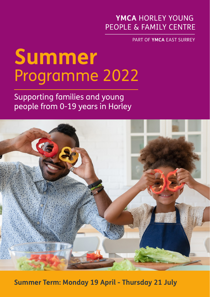# YMCA HORLEY YOUNG PFOPLE & FAMILY CENTRE

PART OF YMCA EAST SURREY

# **Summer** Programme 2022

Supporting families and young people from 0-19 years in Horley



**Summer Term: Monday 19 April - Thursday 21 July**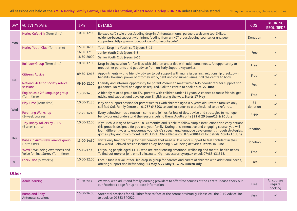| <b>DAY</b> | <b>ACTIVITY/DATE</b>                                                      | <b>TIME</b>                               | <b>DETAILS</b>                                                                                                                                                                                                                                                                                                                                                                                                          | <b>COST</b>     | <b>BOOKING</b><br><b>REQUIRED?</b> |
|------------|---------------------------------------------------------------------------|-------------------------------------------|-------------------------------------------------------------------------------------------------------------------------------------------------------------------------------------------------------------------------------------------------------------------------------------------------------------------------------------------------------------------------------------------------------------------------|-----------------|------------------------------------|
| Mon        | Horley Café Milk (Term time)                                              | 10:00-12:00                               | Relaxed café style breastfeeding drop-in. Antenatal mums, partners welcome too. Skilled,<br>evidence-based support with infant feeding from an NCT breastfeeding counsellor and peer<br>supporters. https://www.facebook.com/horleybabycafe/                                                                                                                                                                            | <b>Donation</b> | $\mathsf{X}$                       |
|            | Horley Youth Club (Term time)                                             | 15:00-16:00<br>16:00-17:30<br>18:30-20:00 | Youth Drop in / Youth café (years 6-11)<br>Junior Youth Club (years 6-8)<br>Senior Youth Club (years 9-11)                                                                                                                                                                                                                                                                                                              | Free            | $\mathsf{x}$                       |
| Tue        | Rainbow Group (Term time)                                                 | 10:30-12:00                               | Drop-in play session for families with children under five with additional needs. An opportunity to<br>meet other parents and get advice from an Early Support Keyworker.                                                                                                                                                                                                                                               | Free            | $\mathsf{X}$                       |
|            | <b>Citizen's Advice</b>                                                   | 09:30-12:15                               | Appointments with a friendly advisor to get support with many issues incl. relationship breakdown,<br>benefits, housing, power of attorney, work, debt and consumer issues. Call the centre to book.                                                                                                                                                                                                                    | Free            | $\checkmark$                       |
|            | <b>National Autistic Society Advice</b><br>sessions                       | 09:30-12:00                               | Friendly and informal opportunity for parents/carers to meet with a NAS coordinator for support and<br>guidance. No referral or diagnosis required. Call the centre to book a slot. 27 June                                                                                                                                                                                                                             | Free            | $\checkmark$                       |
|            | English as a 2 <sup>nd</sup> Language group<br>(Term time)                | 13:00-14:30                               | A friendly relaxed group for EAL parents with children under 11 years. A chance to make friends, get<br>advice and support and develop your English along the way. Starts 17 May                                                                                                                                                                                                                                        | Free            | $\mathsf{x}$                       |
| Wed        | Play Time (Term time)                                                     | 10:00-11:30                               | Play and support session for parents/carers with children aged 0-5 years old. Invited families only -<br>call Red Oak Family Centre on 01737 645908 to book or speak to a professional to be referred.                                                                                                                                                                                                                  | £1<br>donation  |                                    |
|            | <b>Parenting Workshop</b><br>(2-week courses)                             | 12:45-14:45                               | Every behaviour has a reason - come and join us for lots of tips, advice and strategies to manage<br>behaviour and understand the reasons behind them. Adults only   22 & 29 June/13 & 20 July                                                                                                                                                                                                                          | £5pp            |                                    |
| Thu        | <b>Tiny Happy Talkers by CHES</b><br>(5 week course)                      | 10:00-12:00                               | If your child is aged between 18-30 months and is able to follow simple instructions and copy actions<br>this group is designed for you and your family! During this interactive and engaging course, you will<br>learn different ways to encourage your child's speech and language development through strategies,<br>games, play and much more! BY REFERRAL ONLY Please call 07970884121 for details. Starts 16 June | Donation        | ✓                                  |
|            | <b>Babes in Arms New Parents group</b><br>(Term time)                     | 13:00-14:30                               | Invite only friendly group for new parents that need a little more support to feel confident in their<br>new world. Relaxed session includes play, bonding & wellbeing activities. Starts 16 June                                                                                                                                                                                                                       | <b>Donation</b> | $\checkmark$                       |
|            | <b>WAVES Wellbeing Awareness and</b><br>Voice for East Surrey (Term time) | 15:45-17:15                               | For young people aged 13-19 who are experiencing emotional wellbeing and mental health needs.<br>To find out more or join, email ella.sowton@ymcaeastsurrey.org.uk or call 07483 431513.                                                                                                                                                                                                                                | Free            | ✓                                  |
| Fri        | Face2Face (bi weekly)                                                     | 10:00-12:00                               | Face 2 face is a volunteer- led drop-in group for parents and carers of children with additional needs,<br>offering support and befriending. 13 May & 27 May/10 & 24 June/8 July                                                                                                                                                                                                                                        | Free            | $\mathsf{x}$                       |

# **Other**

| Adult learning                      | Times vary  | We work with adult and family learning providers to offer free courses at the Centre. Please check out<br>our Facebook page for up-to-date information | Free | All courses<br>require<br>booking |
|-------------------------------------|-------------|--------------------------------------------------------------------------------------------------------------------------------------------------------|------|-----------------------------------|
| Bump and Baby<br>Antenatal sessions | 15:00-16:00 | Antenatal sessions for all. Either face to face at the centre or virtually. Please call the 0-19 Advice line<br>to book on 01883 340922                | Free |                                   |